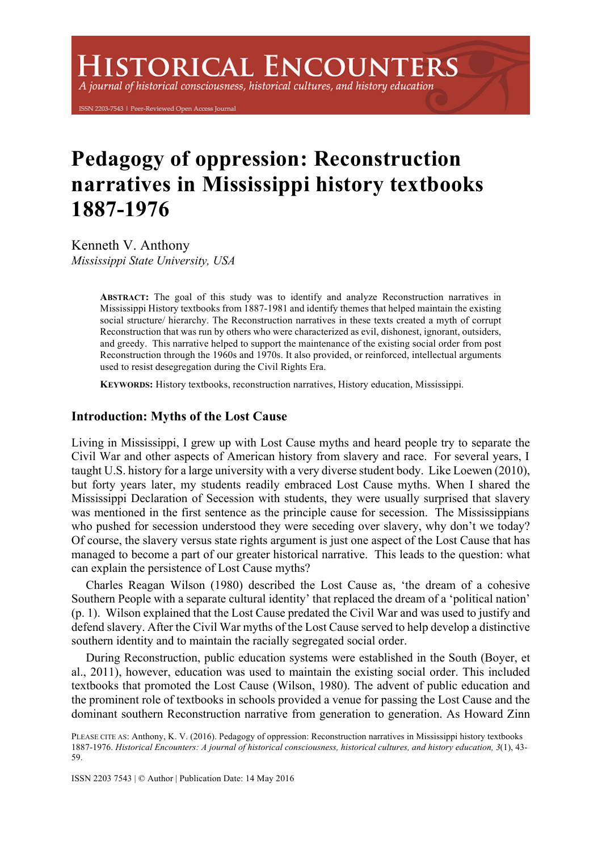A journal of historical consciousness, historical cultures, and history education

ISSN 2203-7543 | Peer-Reviewed Open Access Journal

# **Pedagogy of oppression: Reconstruction narratives in Mississippi history textbooks 1887-1976**

Kenneth V. Anthony *Mississippi State University, USA*

> **ABSTRACT:** The goal of this study was to identify and analyze Reconstruction narratives in Mississippi History textbooks from 1887-1981 and identify themes that helped maintain the existing social structure/ hierarchy. The Reconstruction narratives in these texts created a myth of corrupt Reconstruction that was run by others who were characterized as evil, dishonest, ignorant, outsiders, and greedy. This narrative helped to support the maintenance of the existing social order from post Reconstruction through the 1960s and 1970s. It also provided, or reinforced, intellectual arguments used to resist desegregation during the Civil Rights Era.

**KEYWORDS:** History textbooks, reconstruction narratives, History education, Mississippi.

## **Introduction: Myths of the Lost Cause**

Living in Mississippi, I grew up with Lost Cause myths and heard people try to separate the Civil War and other aspects of American history from slavery and race. For several years, I taught U.S. history for a large university with a very diverse student body. Like Loewen (2010), but forty years later, my students readily embraced Lost Cause myths. When I shared the Mississippi Declaration of Secession with students, they were usually surprised that slavery was mentioned in the first sentence as the principle cause for secession. The Mississippians who pushed for secession understood they were seceding over slavery, why don't we today? Of course, the slavery versus state rights argument is just one aspect of the Lost Cause that has managed to become a part of our greater historical narrative. This leads to the question: what can explain the persistence of Lost Cause myths?

Charles Reagan Wilson (1980) described the Lost Cause as, 'the dream of a cohesive Southern People with a separate cultural identity' that replaced the dream of a 'political nation' (p. 1). Wilson explained that the Lost Cause predated the Civil War and was used to justify and defend slavery. After the Civil War myths of the Lost Cause served to help develop a distinctive southern identity and to maintain the racially segregated social order.

During Reconstruction, public education systems were established in the South (Boyer, et al., 2011), however, education was used to maintain the existing social order. This included textbooks that promoted the Lost Cause (Wilson, 1980). The advent of public education and the prominent role of textbooks in schools provided a venue for passing the Lost Cause and the dominant southern Reconstruction narrative from generation to generation. As Howard Zinn

ISSN 2203 7543 | © Author | Publication Date: 14 May 2016

PLEASE CITE AS: Anthony, K. V. (2016). Pedagogy of oppression: Reconstruction narratives in Mississippi history textbooks 1887-1976. *Historical Encounters: A journal of historical consciousness, historical cultures, and history education, 3*(1), 43- 59.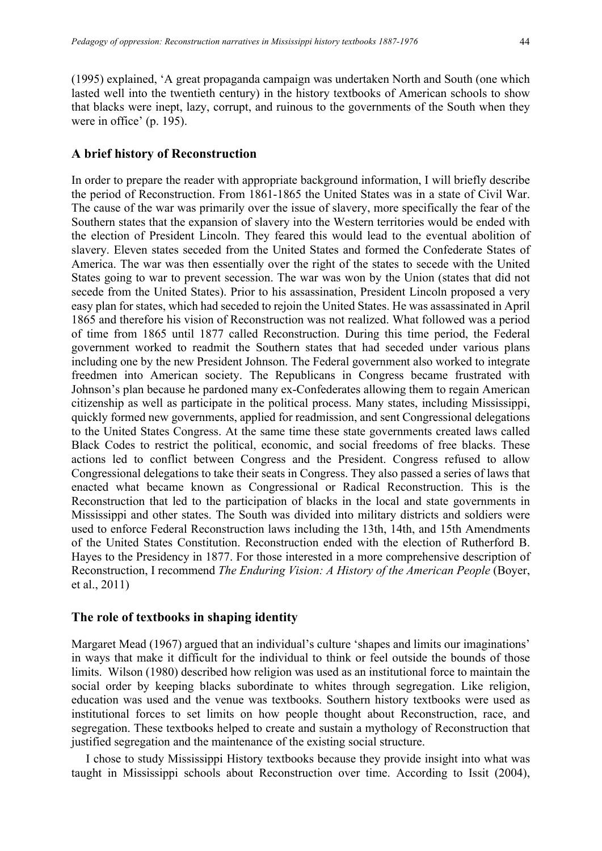(1995) explained, 'A great propaganda campaign was undertaken North and South (one which lasted well into the twentieth century) in the history textbooks of American schools to show that blacks were inept, lazy, corrupt, and ruinous to the governments of the South when they were in office' (p. 195).

#### **A brief history of Reconstruction**

In order to prepare the reader with appropriate background information, I will briefly describe the period of Reconstruction. From 1861-1865 the United States was in a state of Civil War. The cause of the war was primarily over the issue of slavery, more specifically the fear of the Southern states that the expansion of slavery into the Western territories would be ended with the election of President Lincoln. They feared this would lead to the eventual abolition of slavery. Eleven states seceded from the United States and formed the Confederate States of America. The war was then essentially over the right of the states to secede with the United States going to war to prevent secession. The war was won by the Union (states that did not secede from the United States). Prior to his assassination, President Lincoln proposed a very easy plan for states, which had seceded to rejoin the United States. He was assassinated in April 1865 and therefore his vision of Reconstruction was not realized. What followed was a period of time from 1865 until 1877 called Reconstruction. During this time period, the Federal government worked to readmit the Southern states that had seceded under various plans including one by the new President Johnson. The Federal government also worked to integrate freedmen into American society. The Republicans in Congress became frustrated with Johnson's plan because he pardoned many ex-Confederates allowing them to regain American citizenship as well as participate in the political process. Many states, including Mississippi, quickly formed new governments, applied for readmission, and sent Congressional delegations to the United States Congress. At the same time these state governments created laws called Black Codes to restrict the political, economic, and social freedoms of free blacks. These actions led to conflict between Congress and the President. Congress refused to allow Congressional delegations to take their seats in Congress. They also passed a series of laws that enacted what became known as Congressional or Radical Reconstruction. This is the Reconstruction that led to the participation of blacks in the local and state governments in Mississippi and other states. The South was divided into military districts and soldiers were used to enforce Federal Reconstruction laws including the 13th, 14th, and 15th Amendments of the United States Constitution. Reconstruction ended with the election of Rutherford B. Hayes to the Presidency in 1877. For those interested in a more comprehensive description of Reconstruction, I recommend *The Enduring Vision: A History of the American People* (Boyer, et al., 2011)

## **The role of textbooks in shaping identity**

Margaret Mead (1967) argued that an individual's culture 'shapes and limits our imaginations' in ways that make it difficult for the individual to think or feel outside the bounds of those limits. Wilson (1980) described how religion was used as an institutional force to maintain the social order by keeping blacks subordinate to whites through segregation. Like religion, education was used and the venue was textbooks. Southern history textbooks were used as institutional forces to set limits on how people thought about Reconstruction, race, and segregation. These textbooks helped to create and sustain a mythology of Reconstruction that justified segregation and the maintenance of the existing social structure.

I chose to study Mississippi History textbooks because they provide insight into what was taught in Mississippi schools about Reconstruction over time. According to Issit (2004),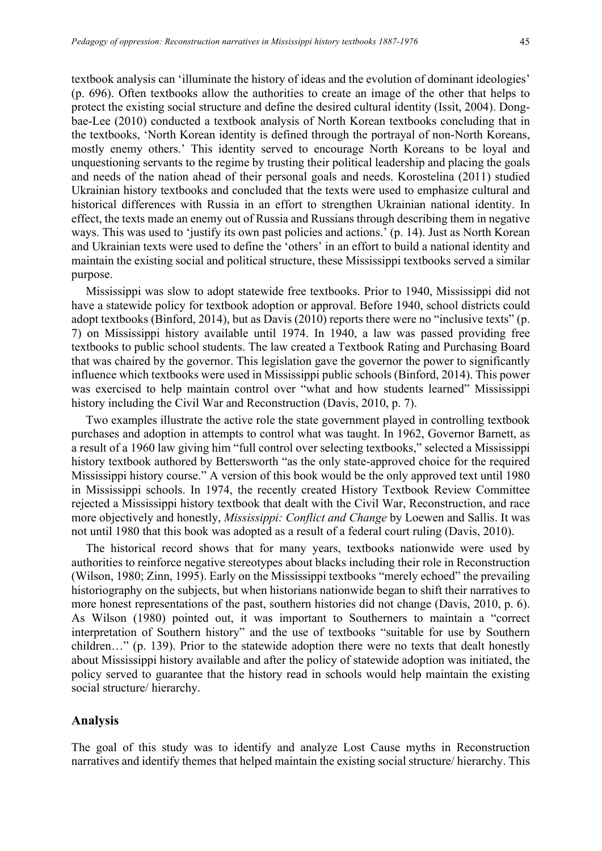textbook analysis can 'illuminate the history of ideas and the evolution of dominant ideologies' (p. 696). Often textbooks allow the authorities to create an image of the other that helps to protect the existing social structure and define the desired cultural identity (Issit, 2004). Dongbae-Lee (2010) conducted a textbook analysis of North Korean textbooks concluding that in the textbooks, 'North Korean identity is defined through the portrayal of non-North Koreans, mostly enemy others.' This identity served to encourage North Koreans to be loyal and unquestioning servants to the regime by trusting their political leadership and placing the goals and needs of the nation ahead of their personal goals and needs. Korostelina (2011) studied Ukrainian history textbooks and concluded that the texts were used to emphasize cultural and historical differences with Russia in an effort to strengthen Ukrainian national identity. In effect, the texts made an enemy out of Russia and Russians through describing them in negative ways. This was used to 'justify its own past policies and actions.' (p. 14). Just as North Korean and Ukrainian texts were used to define the 'others' in an effort to build a national identity and maintain the existing social and political structure, these Mississippi textbooks served a similar purpose.

Mississippi was slow to adopt statewide free textbooks. Prior to 1940, Mississippi did not have a statewide policy for textbook adoption or approval. Before 1940, school districts could adopt textbooks (Binford, 2014), but as Davis (2010) reports there were no "inclusive texts" (p. 7) on Mississippi history available until 1974. In 1940, a law was passed providing free textbooks to public school students. The law created a Textbook Rating and Purchasing Board that was chaired by the governor. This legislation gave the governor the power to significantly influence which textbooks were used in Mississippi public schools (Binford, 2014). This power was exercised to help maintain control over "what and how students learned" Mississippi history including the Civil War and Reconstruction (Davis, 2010, p. 7).

Two examples illustrate the active role the state government played in controlling textbook purchases and adoption in attempts to control what was taught. In 1962, Governor Barnett, as a result of a 1960 law giving him "full control over selecting textbooks," selected a Mississippi history textbook authored by Bettersworth "as the only state-approved choice for the required Mississippi history course." A version of this book would be the only approved text until 1980 in Mississippi schools. In 1974, the recently created History Textbook Review Committee rejected a Mississippi history textbook that dealt with the Civil War, Reconstruction, and race more objectively and honestly, *Mississippi: Conflict and Change* by Loewen and Sallis. It was not until 1980 that this book was adopted as a result of a federal court ruling (Davis, 2010).

The historical record shows that for many years, textbooks nationwide were used by authorities to reinforce negative stereotypes about blacks including their role in Reconstruction (Wilson, 1980; Zinn, 1995). Early on the Mississippi textbooks "merely echoed" the prevailing historiography on the subjects, but when historians nationwide began to shift their narratives to more honest representations of the past, southern histories did not change (Davis, 2010, p. 6). As Wilson (1980) pointed out, it was important to Southerners to maintain a "correct interpretation of Southern history" and the use of textbooks "suitable for use by Southern children…" (p. 139). Prior to the statewide adoption there were no texts that dealt honestly about Mississippi history available and after the policy of statewide adoption was initiated, the policy served to guarantee that the history read in schools would help maintain the existing social structure/ hierarchy.

#### **Analysis**

The goal of this study was to identify and analyze Lost Cause myths in Reconstruction narratives and identify themes that helped maintain the existing social structure/ hierarchy. This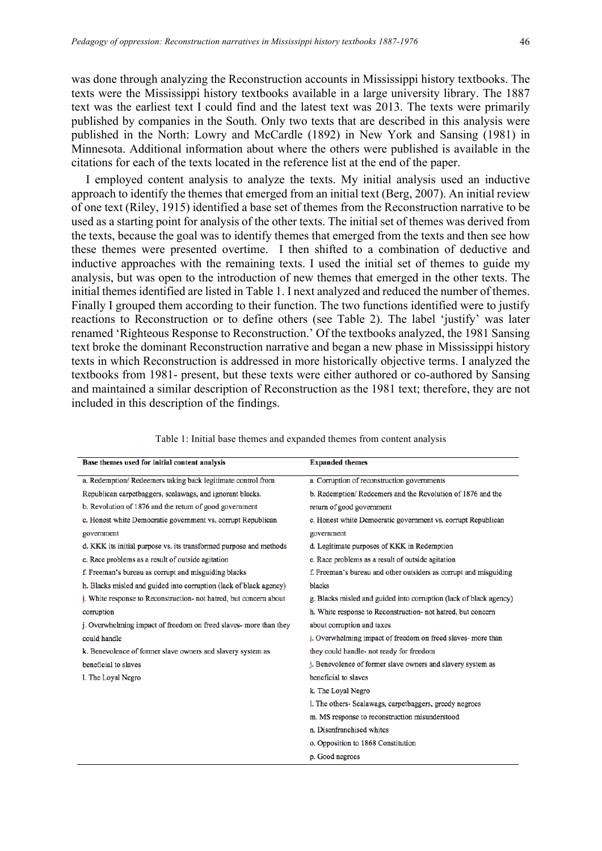was done through analyzing the Reconstruction accounts in Mississippi history textbooks. The texts were the Mississippi history textbooks available in a large university library. The 1887 text was the earliest text I could find and the latest text was 2013. The texts were primarily published by companies in the South. Only two texts that are described in this analysis were published in the North: Lowry and McCardle (1892) in New York and Sansing (1981) in Minnesota. Additional information about where the others were published is available in the citations for each of the texts located in the reference list at the end of the paper.

I employed content analysis to analyze the texts. My initial analysis used an inductive approach to identify the themes that emerged from an initial text (Berg, 2007). An initial review of one text (Riley, 1915) identified a base set of themes from the Reconstruction narrative to be used as a starting point for analysis of the other texts. The initial set of themes was derived from the texts, because the goal was to identify themes that emerged from the texts and then see how these themes were presented overtime. I then shifted to a combination of deductive and inductive approaches with the remaining texts. I used the initial set of themes to guide my analysis, but was open to the introduction of new themes that emerged in the other texts. The initial themes identified are listed in Table 1. I next analyzed and reduced the number of themes. Finally I grouped them according to their function. The two functions identified were to justify reactions to Reconstruction or to define others (see Table 2). The label 'justify' was later renamed 'Righteous Response to Reconstruction.' Of the textbooks analyzed, the 1981 Sansing text broke the dominant Reconstruction narrative and began a new phase in Mississippi history texts in which Reconstruction is addressed in more historically objective terms. I analyzed the textbooks from 1981- present, but these texts were either authored or co-authored by Sansing and maintained a similar description of Reconstruction as the 1981 text; therefore, they are not included in this description of the findings.

| Base themes used for initial content analysis                      | <b>Expanded themes</b>                                              |
|--------------------------------------------------------------------|---------------------------------------------------------------------|
| a. Redemption/ Redeemers taking back legitimate control from       | a. Corruption of reconstruction governments                         |
| Republican carpetbaggers, scalawags, and ignorant blacks.          | b. Redemption/Redeemers and the Revolution of 1876 and the          |
| b. Revolution of 1876 and the return of good government            | return of good government                                           |
| c. Honest white Democratic government vs. corrupt Republican       | c. Honest white Democratic government vs. corrupt Republican        |
| government                                                         | government                                                          |
| d. KKK its initial purpose vs. its transformed purpose and methods | d. Legitimate purposes of KKK in Redemption                         |
| e. Race problems as a result of outside agitation                  | e. Race problems as a result of outside agitation                   |
| f. Freeman's bureau as corrupt and misguiding blacks               | f. Freeman's bureau and other outsiders as corrupt and misguiding   |
| h. Blacks misled and guided into corruption (lack of black agency) | blacks                                                              |
| i. White response to Reconstruction- not hatred, but concern about | g. Blacks misled and guided into corruption (lack of black agency)  |
| corruption                                                         | h. White response to Reconstruction- not hatred, but concern        |
| j. Overwhelming impact of freedom on freed slaves- more than they  | about corruption and taxes                                          |
| could handle                                                       | i. Overwhelming impact of freedom on freed slaves- more than        |
| k. Benevolence of former slave owners and slavery system as        | they could handle- not ready for freedom                            |
| beneficial to slaves                                               | <i>i</i> . Benevolence of former slave owners and slavery system as |
| l. The Loyal Negro                                                 | beneficial to slaves                                                |
|                                                                    | k. The Loyal Negro                                                  |
|                                                                    | l. The others- Scalawags, carpetbaggers, greedy negroes             |
|                                                                    | m. MS response to reconstruction misunderstood                      |
|                                                                    | n. Disenfranchised whites                                           |
|                                                                    | o. Opposition to 1868 Constitution                                  |
|                                                                    | p. Good negroes                                                     |

| Table 1: Initial base themes and expanded themes from content analysis |  |  |  |
|------------------------------------------------------------------------|--|--|--|
|------------------------------------------------------------------------|--|--|--|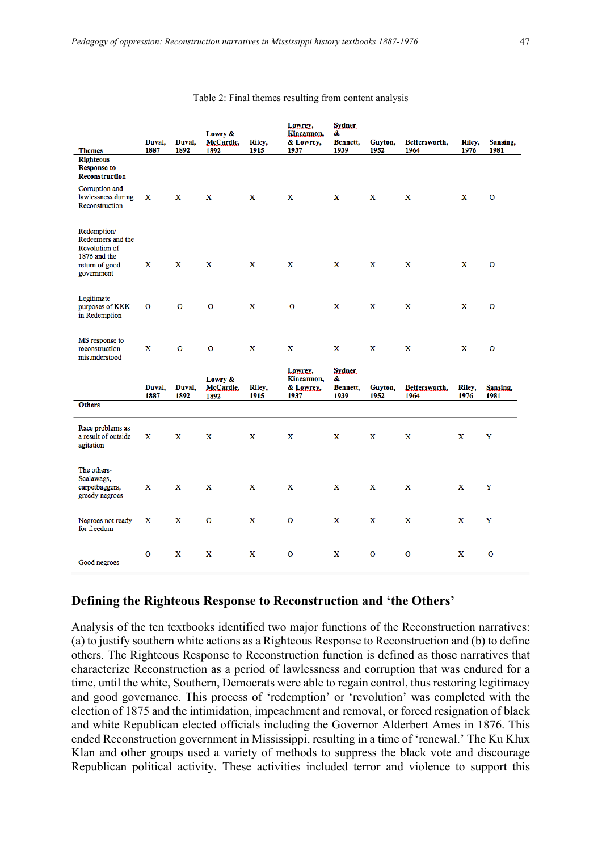| <b>Themes</b>                                                                                            | Duval.<br>1887 | Duval,<br>1892 | Lowry &<br>McCardle,<br>1892 | Riley,<br>1915 | Lowrey,<br>Kincannon,<br>& Lowrey,<br>1937 | <b>Sydner</b><br>&<br>Bennett,<br>1939 | Guyton,<br>1952 | Bettersworth.<br>1964 | Riley,<br>1976 | Sansing.<br>1981 |
|----------------------------------------------------------------------------------------------------------|----------------|----------------|------------------------------|----------------|--------------------------------------------|----------------------------------------|-----------------|-----------------------|----------------|------------------|
| <b>Righteous</b><br><b>Response to</b><br><b>Reconstruction</b>                                          |                |                |                              |                |                                            |                                        |                 |                       |                |                  |
| Corruption and<br>lawlessness during<br>Reconstruction                                                   | x              | X              | X                            | X              | $\mathbf x$                                | x                                      | X               | x                     | X              | $\mathbf{O}$     |
| Redemption/<br>Redeemers and the<br><b>Revolution of</b><br>1876 and the<br>return of good<br>government | $\mathbf{x}$   | $\mathbf{x}$   | $\mathbf{x}$                 | $\mathbf{x}$   | X                                          | X                                      | $\mathbf{x}$    | $\mathbf{x}$          | $\mathbf{x}$   | $\Omega$         |
| Legitimate<br>purposes of KKK<br>in Redemption                                                           | $\mathbf{O}$   | $\mathbf{O}$   | $\mathbf{O}$                 | X              | $\mathbf{O}$                               | X                                      | $\mathbf x$     | X                     | X              | $\mathbf{O}$     |
| MS response to<br>reconstruction<br>misunderstood                                                        | X              | O              | $\mathbf{O}$                 | X              | X                                          | X                                      | X               | X                     | X              | $\mathbf 0$      |
|                                                                                                          | Duval,<br>1887 | Duval,<br>1892 | Lowry &<br>McCardle,<br>1892 | Riley,<br>1915 | Lowrey,<br>Kincannon,<br>& Lowrey,<br>1937 | <b>Sydner</b><br>&<br>Bennett,<br>1939 | Guyton,<br>1952 | Bettersworth,<br>1964 | Riley,<br>1976 | Sansing,<br>1981 |
| <b>Others</b>                                                                                            |                |                |                              |                |                                            |                                        |                 |                       |                |                  |
| Race problems as<br>a result of outside<br>agitation                                                     | $\mathbf{x}$   | $\mathbf{x}$   | $\mathbf x$                  | $\mathbf x$    | $\mathbf x$                                | $\mathbf x$                            | $\mathbf{x}$    | $\mathbf x$           | $\mathbf{x}$   | Y                |
| The others-<br>Scalawags,<br>carpetbaggers,<br>greedy negroes                                            | x              | X              | X                            | X              | X                                          | X                                      | X               | X                     | x              | Y                |
| Negroes not ready<br>for freedom                                                                         | X              | X              | $\mathbf{O}$                 | x              | $\mathbf 0$                                | x                                      | x               | x                     | X              | Y                |
| Good negroes                                                                                             | $\mathbf{O}$   | X              | X                            | x              | O                                          | x                                      | O               | $\mathbf O$           | X              | $\mathbf{O}$     |

#### Table 2: Final themes resulting from content analysis

#### **Defining the Righteous Response to Reconstruction and 'the Others'**

Analysis of the ten textbooks identified two major functions of the Reconstruction narratives: (a) to justify southern white actions as a Righteous Response to Reconstruction and (b) to define others. The Righteous Response to Reconstruction function is defined as those narratives that characterize Reconstruction as a period of lawlessness and corruption that was endured for a time, until the white, Southern, Democrats were able to regain control, thus restoring legitimacy and good governance. This process of 'redemption' or 'revolution' was completed with the election of 1875 and the intimidation, impeachment and removal, or forced resignation of black and white Republican elected officials including the Governor Alderbert Ames in 1876. This ended Reconstruction government in Mississippi, resulting in a time of 'renewal.' The Ku Klux Klan and other groups used a variety of methods to suppress the black vote and discourage Republican political activity. These activities included terror and violence to support this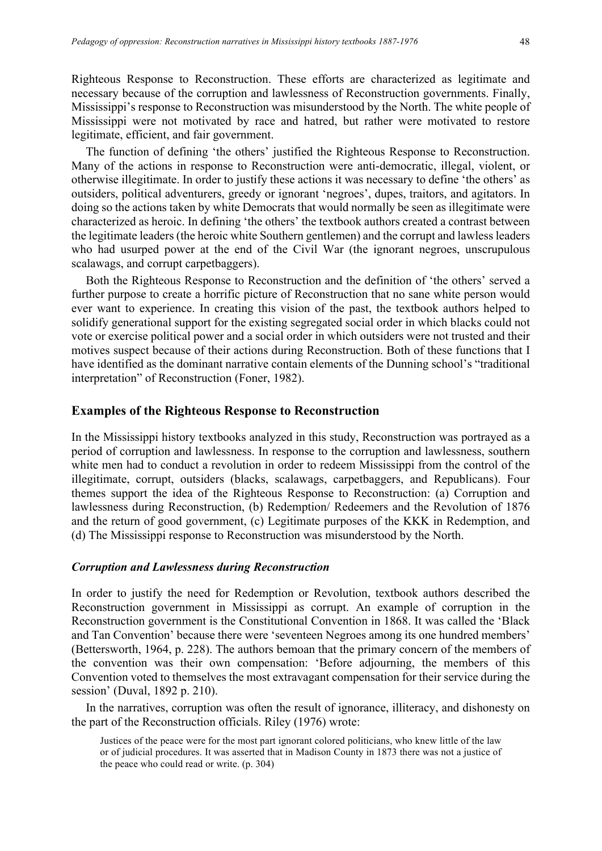Righteous Response to Reconstruction. These efforts are characterized as legitimate and necessary because of the corruption and lawlessness of Reconstruction governments. Finally, Mississippi's response to Reconstruction was misunderstood by the North. The white people of Mississippi were not motivated by race and hatred, but rather were motivated to restore legitimate, efficient, and fair government.

The function of defining 'the others' justified the Righteous Response to Reconstruction. Many of the actions in response to Reconstruction were anti-democratic, illegal, violent, or otherwise illegitimate. In order to justify these actions it was necessary to define 'the others' as outsiders, political adventurers, greedy or ignorant 'negroes', dupes, traitors, and agitators. In doing so the actions taken by white Democrats that would normally be seen as illegitimate were characterized as heroic. In defining 'the others' the textbook authors created a contrast between the legitimate leaders (the heroic white Southern gentlemen) and the corrupt and lawless leaders who had usurped power at the end of the Civil War (the ignorant negroes, unscrupulous scalawags, and corrupt carpetbaggers).

Both the Righteous Response to Reconstruction and the definition of 'the others' served a further purpose to create a horrific picture of Reconstruction that no sane white person would ever want to experience. In creating this vision of the past, the textbook authors helped to solidify generational support for the existing segregated social order in which blacks could not vote or exercise political power and a social order in which outsiders were not trusted and their motives suspect because of their actions during Reconstruction. Both of these functions that I have identified as the dominant narrative contain elements of the Dunning school's "traditional interpretation" of Reconstruction (Foner, 1982).

#### **Examples of the Righteous Response to Reconstruction**

In the Mississippi history textbooks analyzed in this study, Reconstruction was portrayed as a period of corruption and lawlessness. In response to the corruption and lawlessness, southern white men had to conduct a revolution in order to redeem Mississippi from the control of the illegitimate, corrupt, outsiders (blacks, scalawags, carpetbaggers, and Republicans). Four themes support the idea of the Righteous Response to Reconstruction: (a) Corruption and lawlessness during Reconstruction, (b) Redemption/ Redeemers and the Revolution of 1876 and the return of good government, (c) Legitimate purposes of the KKK in Redemption, and (d) The Mississippi response to Reconstruction was misunderstood by the North.

#### *Corruption and Lawlessness during Reconstruction*

In order to justify the need for Redemption or Revolution, textbook authors described the Reconstruction government in Mississippi as corrupt. An example of corruption in the Reconstruction government is the Constitutional Convention in 1868. It was called the 'Black and Tan Convention' because there were 'seventeen Negroes among its one hundred members' (Bettersworth, 1964, p. 228). The authors bemoan that the primary concern of the members of the convention was their own compensation: 'Before adjourning, the members of this Convention voted to themselves the most extravagant compensation for their service during the session' (Duval, 1892 p. 210).

In the narratives, corruption was often the result of ignorance, illiteracy, and dishonesty on the part of the Reconstruction officials. Riley (1976) wrote:

Justices of the peace were for the most part ignorant colored politicians, who knew little of the law or of judicial procedures. It was asserted that in Madison County in 1873 there was not a justice of the peace who could read or write. (p. 304)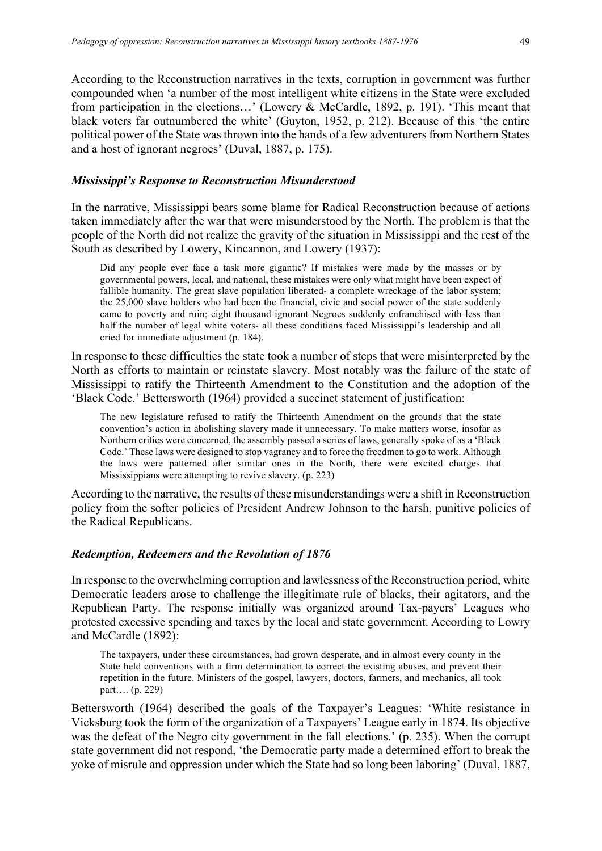According to the Reconstruction narratives in the texts, corruption in government was further compounded when 'a number of the most intelligent white citizens in the State were excluded from participation in the elections…' (Lowery & McCardle, 1892, p. 191). 'This meant that black voters far outnumbered the white' (Guyton, 1952, p. 212). Because of this 'the entire political power of the State was thrown into the hands of a few adventurers from Northern States and a host of ignorant negroes' (Duval, 1887, p. 175).

## *Mississippi's Response to Reconstruction Misunderstood*

In the narrative, Mississippi bears some blame for Radical Reconstruction because of actions taken immediately after the war that were misunderstood by the North. The problem is that the people of the North did not realize the gravity of the situation in Mississippi and the rest of the South as described by Lowery, Kincannon, and Lowery (1937):

Did any people ever face a task more gigantic? If mistakes were made by the masses or by governmental powers, local, and national, these mistakes were only what might have been expect of fallible humanity. The great slave population liberated- a complete wreckage of the labor system; the 25,000 slave holders who had been the financial, civic and social power of the state suddenly came to poverty and ruin; eight thousand ignorant Negroes suddenly enfranchised with less than half the number of legal white voters- all these conditions faced Mississippi's leadership and all cried for immediate adjustment (p. 184).

In response to these difficulties the state took a number of steps that were misinterpreted by the North as efforts to maintain or reinstate slavery. Most notably was the failure of the state of Mississippi to ratify the Thirteenth Amendment to the Constitution and the adoption of the 'Black Code.' Bettersworth (1964) provided a succinct statement of justification:

The new legislature refused to ratify the Thirteenth Amendment on the grounds that the state convention's action in abolishing slavery made it unnecessary. To make matters worse, insofar as Northern critics were concerned, the assembly passed a series of laws, generally spoke of as a 'Black Code.' These laws were designed to stop vagrancy and to force the freedmen to go to work. Although the laws were patterned after similar ones in the North, there were excited charges that Mississippians were attempting to revive slavery. (p. 223)

According to the narrative, the results of these misunderstandings were a shift in Reconstruction policy from the softer policies of President Andrew Johnson to the harsh, punitive policies of the Radical Republicans.

## *Redemption, Redeemers and the Revolution of 1876*

In response to the overwhelming corruption and lawlessness of the Reconstruction period, white Democratic leaders arose to challenge the illegitimate rule of blacks, their agitators, and the Republican Party. The response initially was organized around Tax-payers' Leagues who protested excessive spending and taxes by the local and state government. According to Lowry and McCardle (1892):

The taxpayers, under these circumstances, had grown desperate, and in almost every county in the State held conventions with a firm determination to correct the existing abuses, and prevent their repetition in the future. Ministers of the gospel, lawyers, doctors, farmers, and mechanics, all took part…. (p. 229)

Bettersworth (1964) described the goals of the Taxpayer's Leagues: 'White resistance in Vicksburg took the form of the organization of a Taxpayers' League early in 1874. Its objective was the defeat of the Negro city government in the fall elections.' (p. 235). When the corrupt state government did not respond, 'the Democratic party made a determined effort to break the yoke of misrule and oppression under which the State had so long been laboring' (Duval, 1887,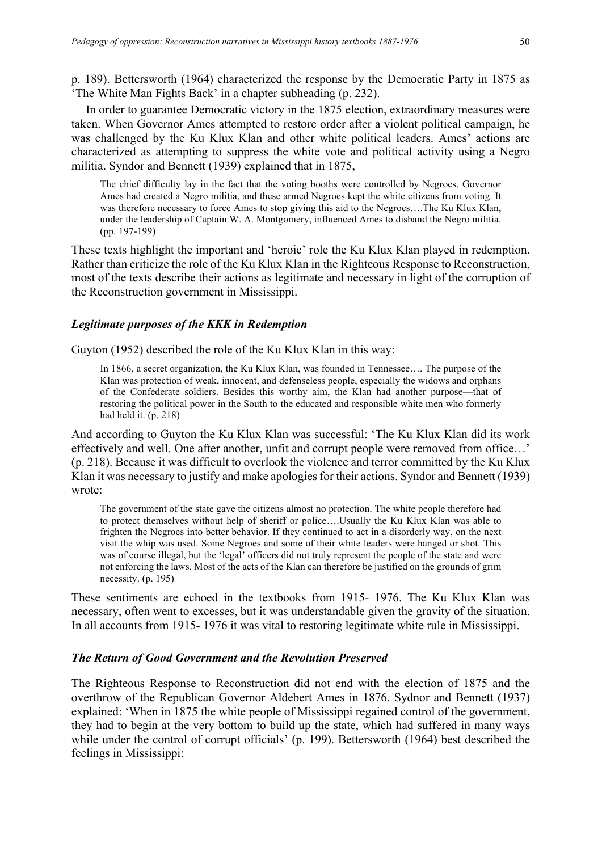p. 189). Bettersworth (1964) characterized the response by the Democratic Party in 1875 as 'The White Man Fights Back' in a chapter subheading (p. 232).

In order to guarantee Democratic victory in the 1875 election, extraordinary measures were taken. When Governor Ames attempted to restore order after a violent political campaign, he was challenged by the Ku Klux Klan and other white political leaders. Ames' actions are characterized as attempting to suppress the white vote and political activity using a Negro militia. Syndor and Bennett (1939) explained that in 1875,

The chief difficulty lay in the fact that the voting booths were controlled by Negroes. Governor Ames had created a Negro militia, and these armed Negroes kept the white citizens from voting. It was therefore necessary to force Ames to stop giving this aid to the Negroes….The Ku Klux Klan, under the leadership of Captain W. A. Montgomery, influenced Ames to disband the Negro militia. (pp. 197-199)

These texts highlight the important and 'heroic' role the Ku Klux Klan played in redemption. Rather than criticize the role of the Ku Klux Klan in the Righteous Response to Reconstruction, most of the texts describe their actions as legitimate and necessary in light of the corruption of the Reconstruction government in Mississippi.

#### *Legitimate purposes of the KKK in Redemption*

Guyton (1952) described the role of the Ku Klux Klan in this way:

In 1866, a secret organization, the Ku Klux Klan, was founded in Tennessee…. The purpose of the Klan was protection of weak, innocent, and defenseless people, especially the widows and orphans of the Confederate soldiers. Besides this worthy aim, the Klan had another purpose—that of restoring the political power in the South to the educated and responsible white men who formerly had held it. (p. 218)

And according to Guyton the Ku Klux Klan was successful: 'The Ku Klux Klan did its work effectively and well. One after another, unfit and corrupt people were removed from office…' (p. 218). Because it was difficult to overlook the violence and terror committed by the Ku Klux Klan it was necessary to justify and make apologies for their actions. Syndor and Bennett (1939) wrote:

The government of the state gave the citizens almost no protection. The white people therefore had to protect themselves without help of sheriff or police….Usually the Ku Klux Klan was able to frighten the Negroes into better behavior. If they continued to act in a disorderly way, on the next visit the whip was used. Some Negroes and some of their white leaders were hanged or shot. This was of course illegal, but the 'legal' officers did not truly represent the people of the state and were not enforcing the laws. Most of the acts of the Klan can therefore be justified on the grounds of grim necessity. (p. 195)

These sentiments are echoed in the textbooks from 1915- 1976. The Ku Klux Klan was necessary, often went to excesses, but it was understandable given the gravity of the situation. In all accounts from 1915- 1976 it was vital to restoring legitimate white rule in Mississippi.

### *The Return of Good Government and the Revolution Preserved*

The Righteous Response to Reconstruction did not end with the election of 1875 and the overthrow of the Republican Governor Aldebert Ames in 1876. Sydnor and Bennett (1937) explained: 'When in 1875 the white people of Mississippi regained control of the government, they had to begin at the very bottom to build up the state, which had suffered in many ways while under the control of corrupt officials' (p. 199). Bettersworth (1964) best described the feelings in Mississippi: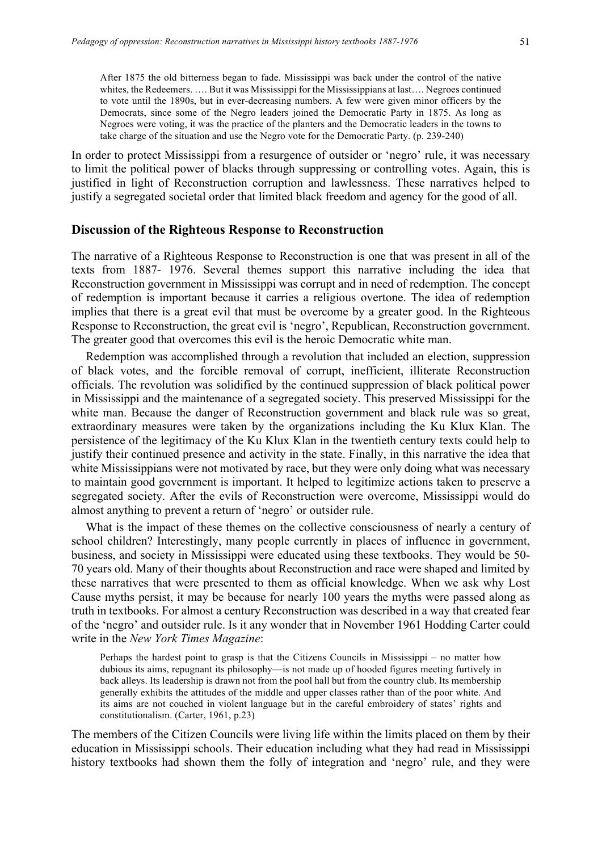After 1875 the old bitterness began to fade. Mississippi was back under the control of the native whites, the Redeemers. .... But it was Mississippi for the Mississippians at last.... Negroes continued to vote until the 1890s, but in ever-decreasing numbers. A few were given minor officers by the Democrats, since some of the Negro leaders joined the Democratic Party in 1875. As long as Negroes were voting, it was the practice of the planters and the Democratic leaders in the towns to take charge of the situation and use the Negro vote for the Democratic Party. (p. 239-240)

In order to protect Mississippi from a resurgence of outsider or 'negro' rule, it was necessary to limit the political power of blacks through suppressing or controlling votes. Again, this is justified in light of Reconstruction corruption and lawlessness. These narratives helped to justify a segregated societal order that limited black freedom and agency for the good of all.

## **Discussion of the Righteous Response to Reconstruction**

The narrative of a Righteous Response to Reconstruction is one that was present in all of the texts from 1887- 1976. Several themes support this narrative including the idea that Reconstruction government in Mississippi was corrupt and in need of redemption. The concept of redemption is important because it carries a religious overtone. The idea of redemption implies that there is a great evil that must be overcome by a greater good. In the Righteous Response to Reconstruction, the great evil is 'negro', Republican, Reconstruction government. The greater good that overcomes this evil is the heroic Democratic white man.

Redemption was accomplished through a revolution that included an election, suppression of black votes, and the forcible removal of corrupt, inefficient, illiterate Reconstruction officials. The revolution was solidified by the continued suppression of black political power in Mississippi and the maintenance of a segregated society. This preserved Mississippi for the white man. Because the danger of Reconstruction government and black rule was so great, extraordinary measures were taken by the organizations including the Ku Klux Klan. The persistence of the legitimacy of the Ku Klux Klan in the twentieth century texts could help to justify their continued presence and activity in the state. Finally, in this narrative the idea that white Mississippians were not motivated by race, but they were only doing what was necessary to maintain good government is important. It helped to legitimize actions taken to preserve a segregated society. After the evils of Reconstruction were overcome, Mississippi would do almost anything to prevent a return of 'negro' or outsider rule.

What is the impact of these themes on the collective consciousness of nearly a century of school children? Interestingly, many people currently in places of influence in government, business, and society in Mississippi were educated using these textbooks. They would be 50- 70 years old. Many of their thoughts about Reconstruction and race were shaped and limited by these narratives that were presented to them as official knowledge. When we ask why Lost Cause myths persist, it may be because for nearly 100 years the myths were passed along as truth in textbooks. For almost a century Reconstruction was described in a way that created fear of the 'negro' and outsider rule. Is it any wonder that in November 1961 Hodding Carter could write in the *New York Times Magazine*:

Perhaps the hardest point to grasp is that the Citizens Councils in Mississippi – no matter how dubious its aims, repugnant its philosophy—is not made up of hooded figures meeting furtively in back alleys. Its leadership is drawn not from the pool hall but from the country club. Its membership generally exhibits the attitudes of the middle and upper classes rather than of the poor white. And its aims are not couched in violent language but in the careful embroidery of states' rights and constitutionalism. (Carter, 1961, p.23)

The members of the Citizen Councils were living life within the limits placed on them by their education in Mississippi schools. Their education including what they had read in Mississippi history textbooks had shown them the folly of integration and 'negro' rule, and they were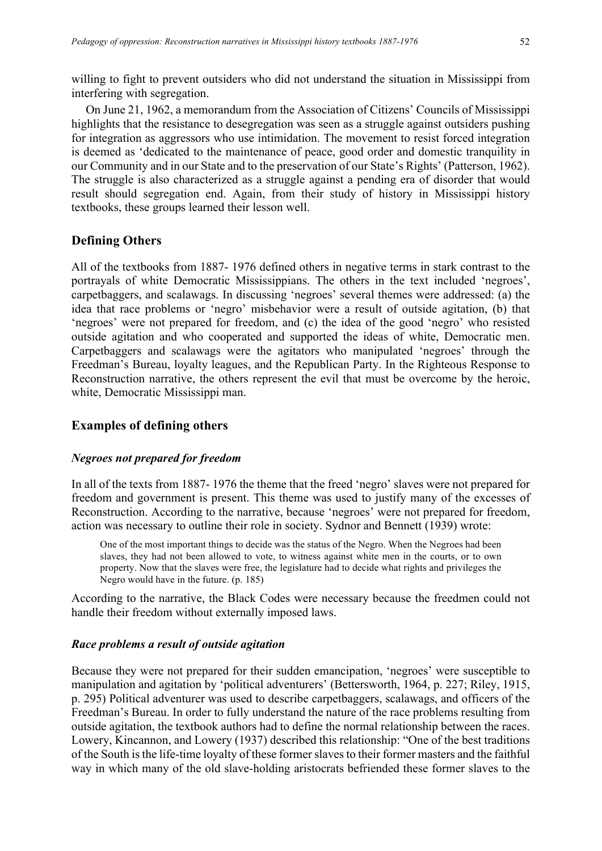willing to fight to prevent outsiders who did not understand the situation in Mississippi from interfering with segregation.

On June 21, 1962, a memorandum from the Association of Citizens' Councils of Mississippi highlights that the resistance to desegregation was seen as a struggle against outsiders pushing for integration as aggressors who use intimidation. The movement to resist forced integration is deemed as 'dedicated to the maintenance of peace, good order and domestic tranquility in our Community and in our State and to the preservation of our State's Rights' (Patterson, 1962). The struggle is also characterized as a struggle against a pending era of disorder that would result should segregation end. Again, from their study of history in Mississippi history textbooks, these groups learned their lesson well.

## **Defining Others**

All of the textbooks from 1887- 1976 defined others in negative terms in stark contrast to the portrayals of white Democratic Mississippians. The others in the text included 'negroes', carpetbaggers, and scalawags. In discussing 'negroes' several themes were addressed: (a) the idea that race problems or 'negro' misbehavior were a result of outside agitation, (b) that 'negroes' were not prepared for freedom, and (c) the idea of the good 'negro' who resisted outside agitation and who cooperated and supported the ideas of white, Democratic men. Carpetbaggers and scalawags were the agitators who manipulated 'negroes' through the Freedman's Bureau, loyalty leagues, and the Republican Party. In the Righteous Response to Reconstruction narrative, the others represent the evil that must be overcome by the heroic, white, Democratic Mississippi man.

## **Examples of defining others**

#### *Negroes not prepared for freedom*

In all of the texts from 1887- 1976 the theme that the freed 'negro' slaves were not prepared for freedom and government is present. This theme was used to justify many of the excesses of Reconstruction. According to the narrative, because 'negroes' were not prepared for freedom, action was necessary to outline their role in society. Sydnor and Bennett (1939) wrote:

One of the most important things to decide was the status of the Negro. When the Negroes had been slaves, they had not been allowed to vote, to witness against white men in the courts, or to own property. Now that the slaves were free, the legislature had to decide what rights and privileges the Negro would have in the future. (p. 185)

According to the narrative, the Black Codes were necessary because the freedmen could not handle their freedom without externally imposed laws.

#### *Race problems a result of outside agitation*

Because they were not prepared for their sudden emancipation, 'negroes' were susceptible to manipulation and agitation by 'political adventurers' (Bettersworth, 1964, p. 227; Riley, 1915, p. 295) Political adventurer was used to describe carpetbaggers, scalawags, and officers of the Freedman's Bureau. In order to fully understand the nature of the race problems resulting from outside agitation, the textbook authors had to define the normal relationship between the races. Lowery, Kincannon, and Lowery (1937) described this relationship: "One of the best traditions of the South is the life-time loyalty of these former slaves to their former masters and the faithful way in which many of the old slave-holding aristocrats befriended these former slaves to the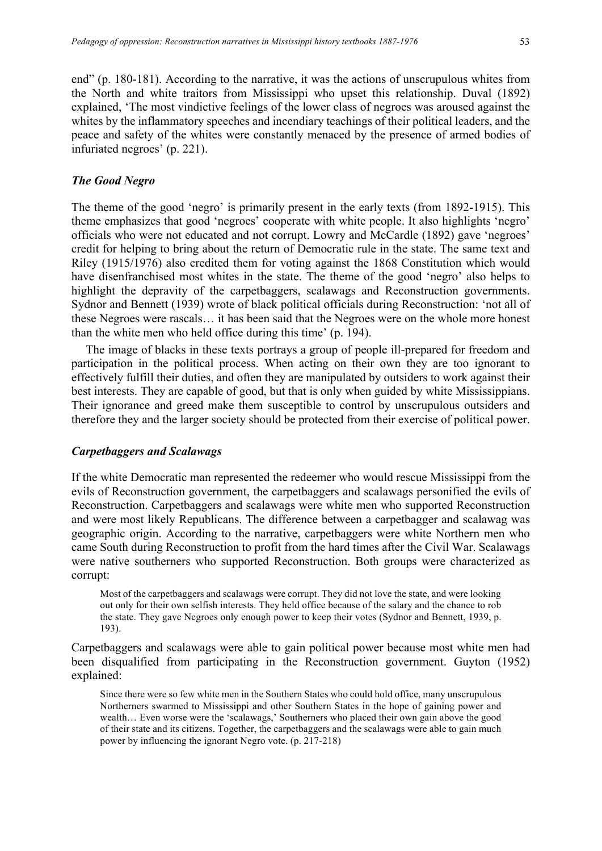end" (p. 180-181). According to the narrative, it was the actions of unscrupulous whites from

the North and white traitors from Mississippi who upset this relationship. Duval (1892) explained, 'The most vindictive feelings of the lower class of negroes was aroused against the whites by the inflammatory speeches and incendiary teachings of their political leaders, and the peace and safety of the whites were constantly menaced by the presence of armed bodies of infuriated negroes' (p. 221).

### *The Good Negro*

The theme of the good 'negro' is primarily present in the early texts (from 1892-1915). This theme emphasizes that good 'negroes' cooperate with white people. It also highlights 'negro' officials who were not educated and not corrupt. Lowry and McCardle (1892) gave 'negroes' credit for helping to bring about the return of Democratic rule in the state. The same text and Riley (1915/1976) also credited them for voting against the 1868 Constitution which would have disenfranchised most whites in the state. The theme of the good 'negro' also helps to highlight the depravity of the carpetbaggers, scalawags and Reconstruction governments. Sydnor and Bennett (1939) wrote of black political officials during Reconstruction: 'not all of these Negroes were rascals… it has been said that the Negroes were on the whole more honest than the white men who held office during this time' (p. 194).

The image of blacks in these texts portrays a group of people ill-prepared for freedom and participation in the political process. When acting on their own they are too ignorant to effectively fulfill their duties, and often they are manipulated by outsiders to work against their best interests. They are capable of good, but that is only when guided by white Mississippians. Their ignorance and greed make them susceptible to control by unscrupulous outsiders and therefore they and the larger society should be protected from their exercise of political power.

#### *Carpetbaggers and Scalawags*

If the white Democratic man represented the redeemer who would rescue Mississippi from the evils of Reconstruction government, the carpetbaggers and scalawags personified the evils of Reconstruction. Carpetbaggers and scalawags were white men who supported Reconstruction and were most likely Republicans. The difference between a carpetbagger and scalawag was geographic origin. According to the narrative, carpetbaggers were white Northern men who came South during Reconstruction to profit from the hard times after the Civil War. Scalawags were native southerners who supported Reconstruction. Both groups were characterized as corrupt:

Most of the carpetbaggers and scalawags were corrupt. They did not love the state, and were looking out only for their own selfish interests. They held office because of the salary and the chance to rob the state. They gave Negroes only enough power to keep their votes (Sydnor and Bennett, 1939, p. 193).

Carpetbaggers and scalawags were able to gain political power because most white men had been disqualified from participating in the Reconstruction government. Guyton (1952) explained:

Since there were so few white men in the Southern States who could hold office, many unscrupulous Northerners swarmed to Mississippi and other Southern States in the hope of gaining power and wealth… Even worse were the 'scalawags,' Southerners who placed their own gain above the good of their state and its citizens. Together, the carpetbaggers and the scalawags were able to gain much power by influencing the ignorant Negro vote. (p. 217-218)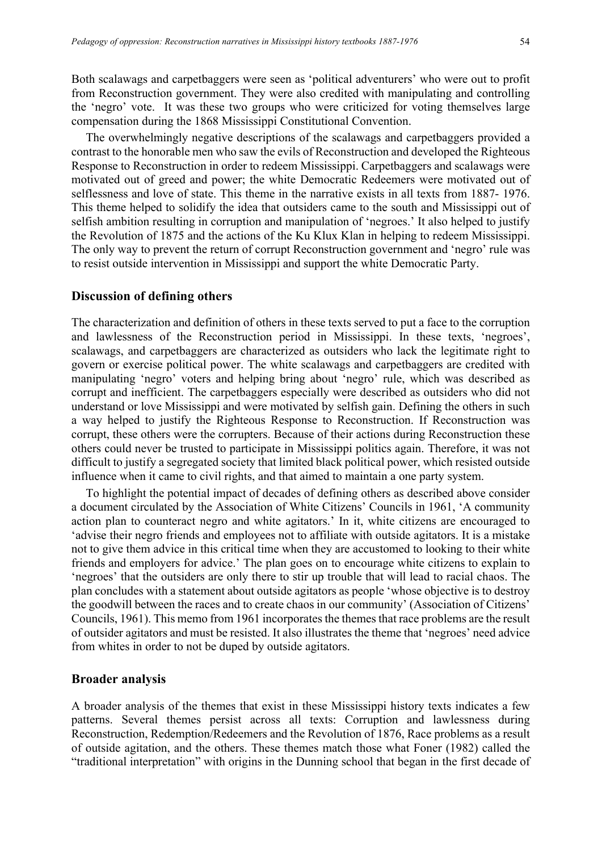Both scalawags and carpetbaggers were seen as 'political adventurers' who were out to profit from Reconstruction government. They were also credited with manipulating and controlling the 'negro' vote. It was these two groups who were criticized for voting themselves large compensation during the 1868 Mississippi Constitutional Convention.

The overwhelmingly negative descriptions of the scalawags and carpetbaggers provided a contrast to the honorable men who saw the evils of Reconstruction and developed the Righteous Response to Reconstruction in order to redeem Mississippi. Carpetbaggers and scalawags were motivated out of greed and power; the white Democratic Redeemers were motivated out of selflessness and love of state. This theme in the narrative exists in all texts from 1887- 1976. This theme helped to solidify the idea that outsiders came to the south and Mississippi out of selfish ambition resulting in corruption and manipulation of 'negroes.' It also helped to justify the Revolution of 1875 and the actions of the Ku Klux Klan in helping to redeem Mississippi. The only way to prevent the return of corrupt Reconstruction government and 'negro' rule was to resist outside intervention in Mississippi and support the white Democratic Party.

## **Discussion of defining others**

The characterization and definition of others in these texts served to put a face to the corruption and lawlessness of the Reconstruction period in Mississippi. In these texts, 'negroes', scalawags, and carpetbaggers are characterized as outsiders who lack the legitimate right to govern or exercise political power. The white scalawags and carpetbaggers are credited with manipulating 'negro' voters and helping bring about 'negro' rule, which was described as corrupt and inefficient. The carpetbaggers especially were described as outsiders who did not understand or love Mississippi and were motivated by selfish gain. Defining the others in such a way helped to justify the Righteous Response to Reconstruction. If Reconstruction was corrupt, these others were the corrupters. Because of their actions during Reconstruction these others could never be trusted to participate in Mississippi politics again. Therefore, it was not difficult to justify a segregated society that limited black political power, which resisted outside influence when it came to civil rights, and that aimed to maintain a one party system.

To highlight the potential impact of decades of defining others as described above consider a document circulated by the Association of White Citizens' Councils in 1961, 'A community action plan to counteract negro and white agitators.' In it, white citizens are encouraged to 'advise their negro friends and employees not to affiliate with outside agitators. It is a mistake not to give them advice in this critical time when they are accustomed to looking to their white friends and employers for advice.' The plan goes on to encourage white citizens to explain to 'negroes' that the outsiders are only there to stir up trouble that will lead to racial chaos. The plan concludes with a statement about outside agitators as people 'whose objective is to destroy the goodwill between the races and to create chaos in our community' (Association of Citizens' Councils, 1961). This memo from 1961 incorporates the themes that race problems are the result of outsider agitators and must be resisted. It also illustrates the theme that 'negroes' need advice from whites in order to not be duped by outside agitators.

## **Broader analysis**

A broader analysis of the themes that exist in these Mississippi history texts indicates a few patterns. Several themes persist across all texts: Corruption and lawlessness during Reconstruction, Redemption/Redeemers and the Revolution of 1876, Race problems as a result of outside agitation, and the others. These themes match those what Foner (1982) called the "traditional interpretation" with origins in the Dunning school that began in the first decade of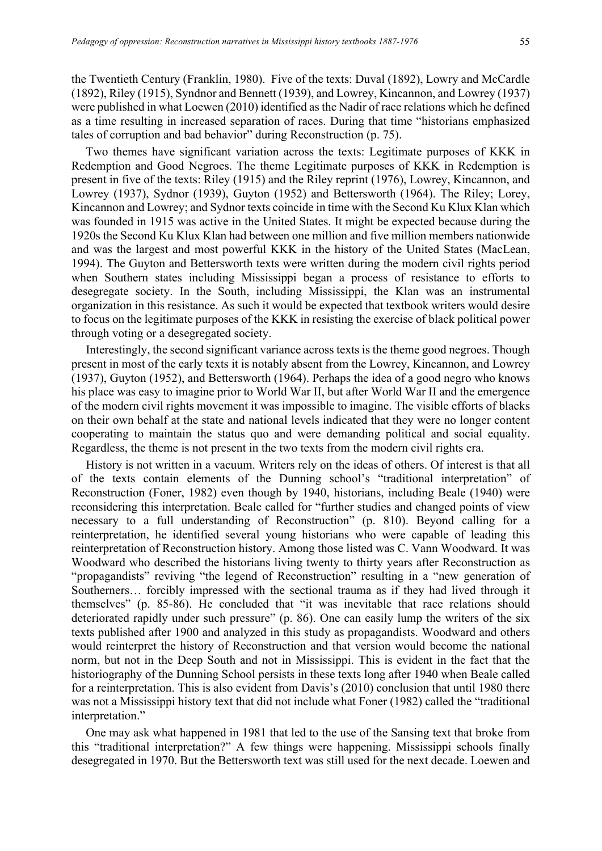tales of corruption and bad behavior" during Reconstruction (p. 75).

the Twentieth Century (Franklin, 1980). Five of the texts: Duval (1892), Lowry and McCardle (1892), Riley (1915), Syndnor and Bennett (1939), and Lowrey, Kincannon, and Lowrey (1937) were published in what Loewen (2010) identified as the Nadir of race relations which he defined as a time resulting in increased separation of races. During that time "historians emphasized

Two themes have significant variation across the texts: Legitimate purposes of KKK in Redemption and Good Negroes. The theme Legitimate purposes of KKK in Redemption is present in five of the texts: Riley (1915) and the Riley reprint (1976), Lowrey, Kincannon, and Lowrey (1937), Sydnor (1939), Guyton (1952) and Bettersworth (1964). The Riley; Lorey, Kincannon and Lowrey; and Sydnor texts coincide in time with the Second Ku Klux Klan which was founded in 1915 was active in the United States. It might be expected because during the 1920s the Second Ku Klux Klan had between one million and five million members nationwide and was the largest and most powerful KKK in the history of the United States (MacLean, 1994). The Guyton and Bettersworth texts were written during the modern civil rights period when Southern states including Mississippi began a process of resistance to efforts to desegregate society. In the South, including Mississippi, the Klan was an instrumental organization in this resistance. As such it would be expected that textbook writers would desire to focus on the legitimate purposes of the KKK in resisting the exercise of black political power through voting or a desegregated society.

Interestingly, the second significant variance across texts is the theme good negroes. Though present in most of the early texts it is notably absent from the Lowrey, Kincannon, and Lowrey (1937), Guyton (1952), and Bettersworth (1964). Perhaps the idea of a good negro who knows his place was easy to imagine prior to World War II, but after World War II and the emergence of the modern civil rights movement it was impossible to imagine. The visible efforts of blacks on their own behalf at the state and national levels indicated that they were no longer content cooperating to maintain the status quo and were demanding political and social equality. Regardless, the theme is not present in the two texts from the modern civil rights era.

History is not written in a vacuum. Writers rely on the ideas of others. Of interest is that all of the texts contain elements of the Dunning school's "traditional interpretation" of Reconstruction (Foner, 1982) even though by 1940, historians, including Beale (1940) were reconsidering this interpretation. Beale called for "further studies and changed points of view necessary to a full understanding of Reconstruction" (p. 810). Beyond calling for a reinterpretation, he identified several young historians who were capable of leading this reinterpretation of Reconstruction history. Among those listed was C. Vann Woodward. It was Woodward who described the historians living twenty to thirty years after Reconstruction as "propagandists" reviving "the legend of Reconstruction" resulting in a "new generation of Southerners… forcibly impressed with the sectional trauma as if they had lived through it themselves" (p. 85-86). He concluded that "it was inevitable that race relations should deteriorated rapidly under such pressure" (p. 86). One can easily lump the writers of the six texts published after 1900 and analyzed in this study as propagandists. Woodward and others would reinterpret the history of Reconstruction and that version would become the national norm, but not in the Deep South and not in Mississippi. This is evident in the fact that the historiography of the Dunning School persists in these texts long after 1940 when Beale called for a reinterpretation. This is also evident from Davis's (2010) conclusion that until 1980 there was not a Mississippi history text that did not include what Foner (1982) called the "traditional interpretation."

One may ask what happened in 1981 that led to the use of the Sansing text that broke from this "traditional interpretation?" A few things were happening. Mississippi schools finally desegregated in 1970. But the Bettersworth text was still used for the next decade. Loewen and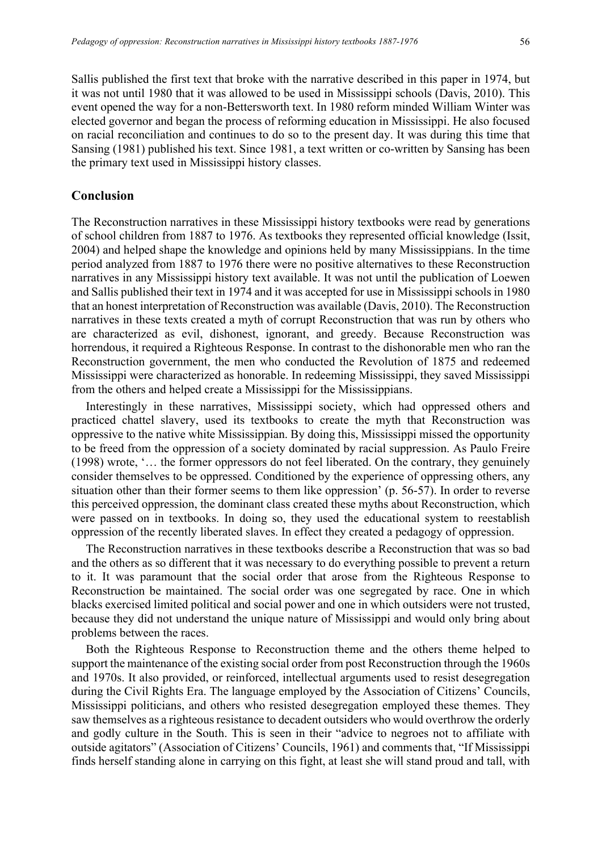Sallis published the first text that broke with the narrative described in this paper in 1974, but it was not until 1980 that it was allowed to be used in Mississippi schools (Davis, 2010). This event opened the way for a non-Bettersworth text. In 1980 reform minded William Winter was elected governor and began the process of reforming education in Mississippi. He also focused on racial reconciliation and continues to do so to the present day. It was during this time that Sansing (1981) published his text. Since 1981, a text written or co-written by Sansing has been the primary text used in Mississippi history classes.

## **Conclusion**

The Reconstruction narratives in these Mississippi history textbooks were read by generations of school children from 1887 to 1976. As textbooks they represented official knowledge (Issit, 2004) and helped shape the knowledge and opinions held by many Mississippians. In the time period analyzed from 1887 to 1976 there were no positive alternatives to these Reconstruction narratives in any Mississippi history text available. It was not until the publication of Loewen and Sallis published their text in 1974 and it was accepted for use in Mississippi schools in 1980 that an honest interpretation of Reconstruction was available (Davis, 2010). The Reconstruction narratives in these texts created a myth of corrupt Reconstruction that was run by others who are characterized as evil, dishonest, ignorant, and greedy. Because Reconstruction was horrendous, it required a Righteous Response. In contrast to the dishonorable men who ran the Reconstruction government, the men who conducted the Revolution of 1875 and redeemed Mississippi were characterized as honorable. In redeeming Mississippi, they saved Mississippi from the others and helped create a Mississippi for the Mississippians.

Interestingly in these narratives, Mississippi society, which had oppressed others and practiced chattel slavery, used its textbooks to create the myth that Reconstruction was oppressive to the native white Mississippian. By doing this, Mississippi missed the opportunity to be freed from the oppression of a society dominated by racial suppression. As Paulo Freire (1998) wrote, '… the former oppressors do not feel liberated. On the contrary, they genuinely consider themselves to be oppressed. Conditioned by the experience of oppressing others, any situation other than their former seems to them like oppression' (p. 56-57). In order to reverse this perceived oppression, the dominant class created these myths about Reconstruction, which were passed on in textbooks. In doing so, they used the educational system to reestablish oppression of the recently liberated slaves. In effect they created a pedagogy of oppression.

The Reconstruction narratives in these textbooks describe a Reconstruction that was so bad and the others as so different that it was necessary to do everything possible to prevent a return to it. It was paramount that the social order that arose from the Righteous Response to Reconstruction be maintained. The social order was one segregated by race. One in which blacks exercised limited political and social power and one in which outsiders were not trusted, because they did not understand the unique nature of Mississippi and would only bring about problems between the races.

Both the Righteous Response to Reconstruction theme and the others theme helped to support the maintenance of the existing social order from post Reconstruction through the 1960s and 1970s. It also provided, or reinforced, intellectual arguments used to resist desegregation during the Civil Rights Era. The language employed by the Association of Citizens' Councils, Mississippi politicians, and others who resisted desegregation employed these themes. They saw themselves as a righteous resistance to decadent outsiders who would overthrow the orderly and godly culture in the South. This is seen in their "advice to negroes not to affiliate with outside agitators" (Association of Citizens' Councils, 1961) and comments that, "If Mississippi finds herself standing alone in carrying on this fight, at least she will stand proud and tall, with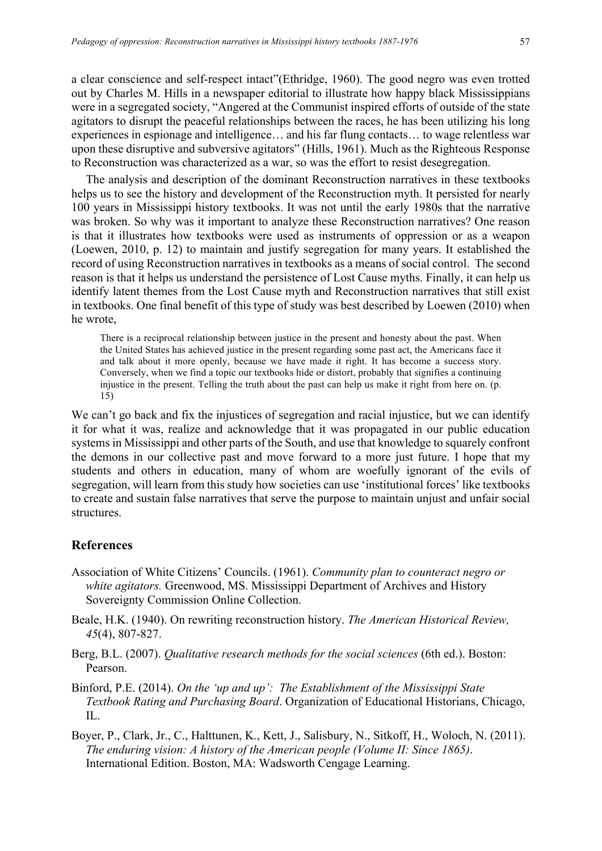a clear conscience and self-respect intact"(Ethridge, 1960). The good negro was even trotted out by Charles M. Hills in a newspaper editorial to illustrate how happy black Mississippians were in a segregated society, "Angered at the Communist inspired efforts of outside of the state agitators to disrupt the peaceful relationships between the races, he has been utilizing his long experiences in espionage and intelligence… and his far flung contacts… to wage relentless war upon these disruptive and subversive agitators" (Hills, 1961). Much as the Righteous Response to Reconstruction was characterized as a war, so was the effort to resist desegregation.

The analysis and description of the dominant Reconstruction narratives in these textbooks helps us to see the history and development of the Reconstruction myth. It persisted for nearly 100 years in Mississippi history textbooks. It was not until the early 1980s that the narrative was broken. So why was it important to analyze these Reconstruction narratives? One reason is that it illustrates how textbooks were used as instruments of oppression or as a weapon (Loewen, 2010, p. 12) to maintain and justify segregation for many years. It established the record of using Reconstruction narratives in textbooks as a means of social control. The second reason is that it helps us understand the persistence of Lost Cause myths. Finally, it can help us identify latent themes from the Lost Cause myth and Reconstruction narratives that still exist in textbooks. One final benefit of this type of study was best described by Loewen (2010) when he wrote,

There is a reciprocal relationship between justice in the present and honesty about the past. When the United States has achieved justice in the present regarding some past act, the Americans face it and talk about it more openly, because we have made it right. It has become a success story. Conversely, when we find a topic our textbooks hide or distort, probably that signifies a continuing injustice in the present. Telling the truth about the past can help us make it right from here on. (p. 15)

We can't go back and fix the injustices of segregation and racial injustice, but we can identify it for what it was, realize and acknowledge that it was propagated in our public education systems in Mississippi and other parts of the South, and use that knowledge to squarely confront the demons in our collective past and move forward to a more just future. I hope that my students and others in education, many of whom are woefully ignorant of the evils of segregation, will learn from this study how societies can use 'institutional forces' like textbooks to create and sustain false narratives that serve the purpose to maintain unjust and unfair social structures.

## **References**

- Association of White Citizens' Councils. (1961). *Community plan to counteract negro or white agitators.* Greenwood, MS. Mississippi Department of Archives and History Sovereignty Commission Online Collection.
- Beale, H.K. (1940). On rewriting reconstruction history. *The American Historical Review, 45*(4), 807-827.
- Berg, B.L. (2007). *Qualitative research methods for the social sciences* (6th ed.). Boston: Pearson.
- Binford, P.E. (2014). *On the 'up and up': The Establishment of the Mississippi State Textbook Rating and Purchasing Board*. Organization of Educational Historians, Chicago, IL.
- Boyer, P., Clark, Jr., C., Halttunen, K., Kett, J., Salisbury, N., Sitkoff, H., Woloch, N. (2011). *The enduring vision: A history of the American people (Volume II: Since 1865)*. International Edition. Boston, MA: Wadsworth Cengage Learning.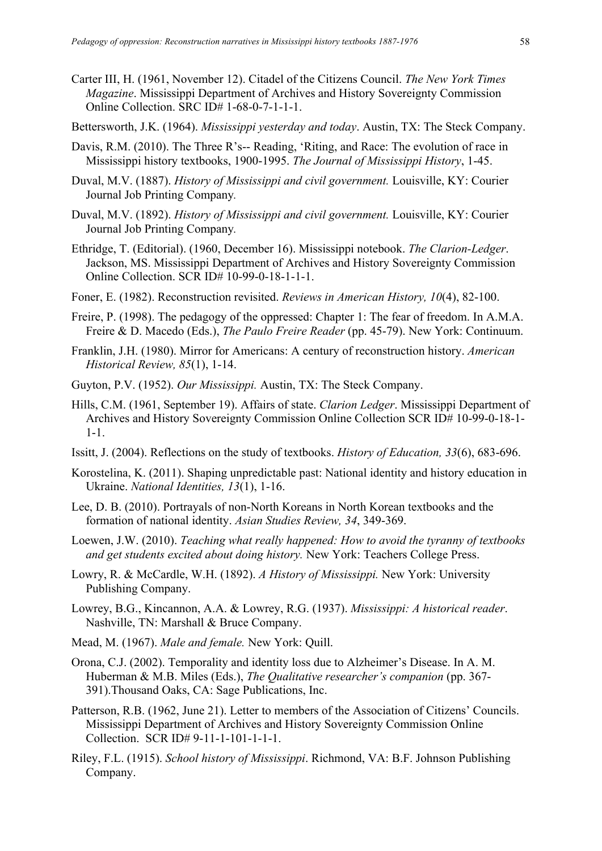- Carter III, H. (1961, November 12). Citadel of the Citizens Council. *The New York Times Magazine*. Mississippi Department of Archives and History Sovereignty Commission Online Collection. SRC ID# 1-68-0-7-1-1-1.
- Bettersworth, J.K. (1964). *Mississippi yesterday and today*. Austin, TX: The Steck Company.
- Davis, R.M. (2010). The Three R's-- Reading, 'Riting, and Race: The evolution of race in Mississippi history textbooks, 1900-1995. *The Journal of Mississippi History*, 1-45.
- Duval, M.V. (1887). *History of Mississippi and civil government.* Louisville, KY: Courier Journal Job Printing Company*.*
- Duval, M.V. (1892). *History of Mississippi and civil government.* Louisville, KY: Courier Journal Job Printing Company*.*
- Ethridge, T. (Editorial). (1960, December 16). Mississippi notebook. *The Clarion-Ledger*. Jackson, MS. Mississippi Department of Archives and History Sovereignty Commission Online Collection. SCR ID# 10-99-0-18-1-1-1.
- Foner, E. (1982). Reconstruction revisited. *Reviews in American History, 10*(4), 82-100.
- Freire, P. (1998). The pedagogy of the oppressed: Chapter 1: The fear of freedom. In A.M.A. Freire & D. Macedo (Eds.), *The Paulo Freire Reader* (pp. 45-79). New York: Continuum.
- Franklin, J.H. (1980). Mirror for Americans: A century of reconstruction history. *American Historical Review, 85*(1), 1-14.
- Guyton, P.V. (1952). *Our Mississippi.* Austin, TX: The Steck Company.
- Hills, C.M. (1961, September 19). Affairs of state. *Clarion Ledger*. Mississippi Department of Archives and History Sovereignty Commission Online Collection SCR ID# 10-99-0-18-1- 1-1.
- Issitt, J. (2004). Reflections on the study of textbooks. *History of Education, 33*(6), 683-696.
- Korostelina, K. (2011). Shaping unpredictable past: National identity and history education in Ukraine. *National Identities, 13*(1), 1-16.
- Lee, D. B. (2010). Portrayals of non-North Koreans in North Korean textbooks and the formation of national identity. *Asian Studies Review, 34*, 349-369.
- Loewen, J.W. (2010). *Teaching what really happened: How to avoid the tyranny of textbooks and get students excited about doing history.* New York: Teachers College Press.
- Lowry, R. & McCardle, W.H. (1892). *A History of Mississippi.* New York: University Publishing Company.
- Lowrey, B.G., Kincannon, A.A. & Lowrey, R.G. (1937). *Mississippi: A historical reader*. Nashville, TN: Marshall & Bruce Company.
- Mead, M. (1967). *Male and female.* New York: Quill.
- Orona, C.J. (2002). Temporality and identity loss due to Alzheimer's Disease. In A. M. Huberman & M.B. Miles (Eds.), *The Qualitative researcher's companion* (pp. 367- 391).Thousand Oaks, CA: Sage Publications, Inc.
- Patterson, R.B. (1962, June 21). Letter to members of the Association of Citizens' Councils. Mississippi Department of Archives and History Sovereignty Commission Online Collection. SCR ID# 9-11-1-101-1-1-1.
- Riley, F.L. (1915). *School history of Mississippi*. Richmond, VA: B.F. Johnson Publishing Company.